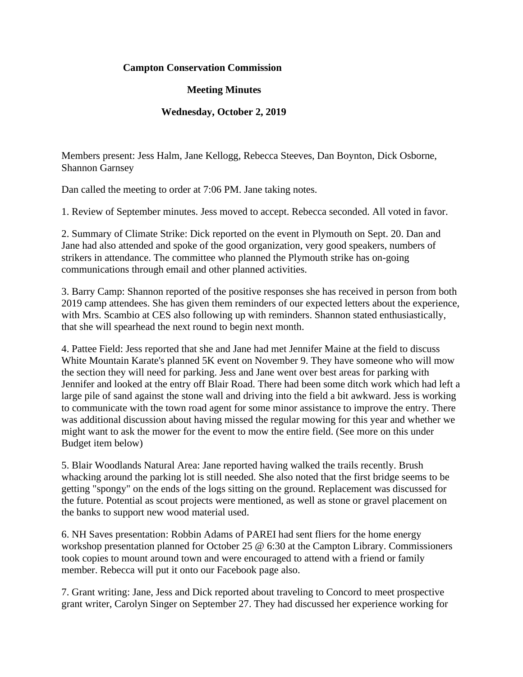## **Campton Conservation Commission**

## **Meeting Minutes**

## **Wednesday, October 2, 2019**

Members present: Jess Halm, Jane Kellogg, Rebecca Steeves, Dan Boynton, Dick Osborne, Shannon Garnsey

Dan called the meeting to order at 7:06 PM. Jane taking notes.

1. Review of September minutes. Jess moved to accept. Rebecca seconded. All voted in favor.

2. Summary of Climate Strike: Dick reported on the event in Plymouth on Sept. 20. Dan and Jane had also attended and spoke of the good organization, very good speakers, numbers of strikers in attendance. The committee who planned the Plymouth strike has on-going communications through email and other planned activities.

3. Barry Camp: Shannon reported of the positive responses she has received in person from both 2019 camp attendees. She has given them reminders of our expected letters about the experience, with Mrs. Scambio at CES also following up with reminders. Shannon stated enthusiastically, that she will spearhead the next round to begin next month.

4. Pattee Field: Jess reported that she and Jane had met Jennifer Maine at the field to discuss White Mountain Karate's planned 5K event on November 9. They have someone who will mow the section they will need for parking. Jess and Jane went over best areas for parking with Jennifer and looked at the entry off Blair Road. There had been some ditch work which had left a large pile of sand against the stone wall and driving into the field a bit awkward. Jess is working to communicate with the town road agent for some minor assistance to improve the entry. There was additional discussion about having missed the regular mowing for this year and whether we might want to ask the mower for the event to mow the entire field. (See more on this under Budget item below)

5. Blair Woodlands Natural Area: Jane reported having walked the trails recently. Brush whacking around the parking lot is still needed. She also noted that the first bridge seems to be getting "spongy" on the ends of the logs sitting on the ground. Replacement was discussed for the future. Potential as scout projects were mentioned, as well as stone or gravel placement on the banks to support new wood material used.

6. NH Saves presentation: Robbin Adams of PAREI had sent fliers for the home energy workshop presentation planned for October 25 @ 6:30 at the Campton Library. Commissioners took copies to mount around town and were encouraged to attend with a friend or family member. Rebecca will put it onto our Facebook page also.

7. Grant writing: Jane, Jess and Dick reported about traveling to Concord to meet prospective grant writer, Carolyn Singer on September 27. They had discussed her experience working for